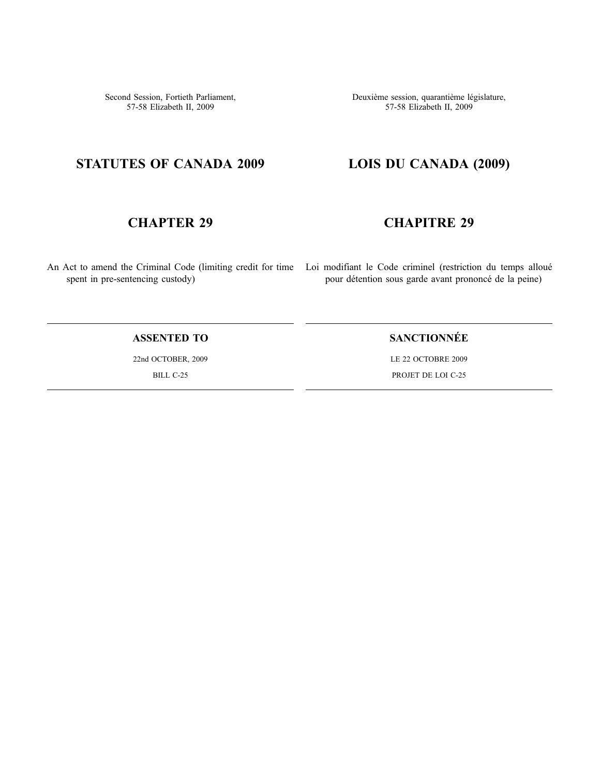Second Session, Fortieth Parliament, 57-58 Elizabeth II, 2009

Deuxième session, quarantième législature, 57-58 Elizabeth II, 2009

# **STATUTES OF CANADA 2009**

# **CHAPTER 29**

spent in pre-sentencing custody)

**LOIS DU CANADA (2009)**

# **CHAPITRE 29**

An Act to amend the Criminal Code (limiting credit for time Loi modifiant le Code criminel (restriction du temps alloué pour détention sous garde avant prononcé de la peine)

### **ASSENTED TO**

22nd OCTOBER, 2009 BILL C-25

## **SANCTIONNÉE**

LE 22 OCTOBRE 2009 PROJET DE LOI C-25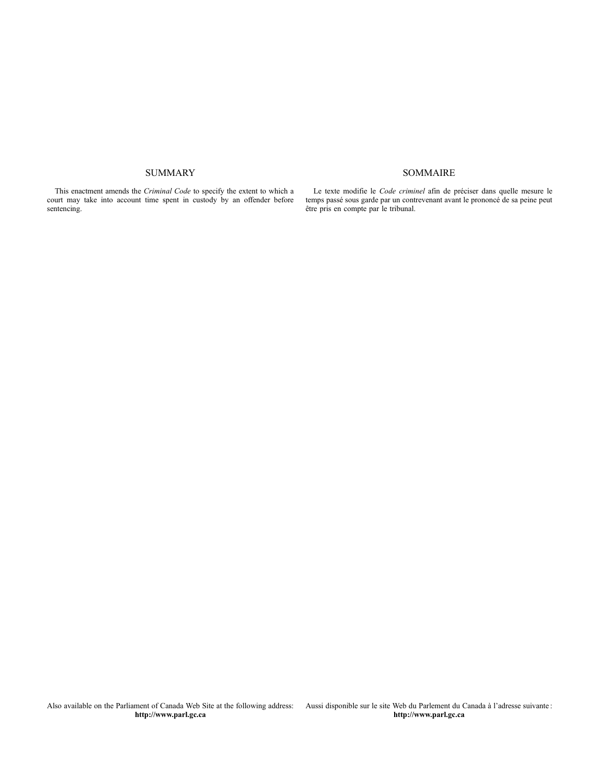#### SUMMARY

This enactment amends the *Criminal Code* to specify the extent to which a court may take into account time spent in custody by an offender before sentencing.

Le texte modifie le *Code criminel* afin de préciser dans quelle mesure le temps passé sous garde par un contrevenant avant le prononcé de sa peine peut être pris en compte par le tribunal.

SOMMAIRE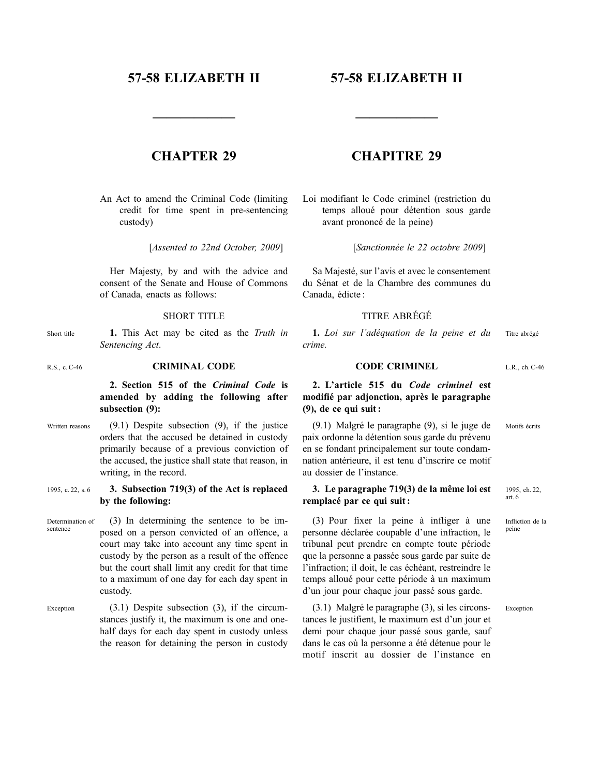## **57-58 ELIZABETH II**

**——————**

## **57-58 ELIZABETH II**

## **CHAPTER 29**

An Act to amend the Criminal Code (limiting credit for time spent in pre-sentencing custody)

[*Assented to 22nd October, 2009*]

Her Majesty, by and with the advice and consent of the Senate and House of Commons of Canada, enacts as follows:

#### SHORT TITLE

- Short title **1.** This Act may be cited as the *Truth in Sentencing Act*.
- R.S., c. C-46 **CRIMINAL CODE**

#### **2. Section 515 of the** *Criminal Code* **is amended by adding the following after subsection (9):**

- Written reasons (9.1) Despite subsection (9), if the justice orders that the accused be detained in custody primarily because of a previous conviction of the accused, the justice shall state that reason, in writing, in the record.
- 1995, c. 22, s. 6 **3. Subsection 719(3) of the Act is replaced by the following:**
- Determination of sentence (3) In determining the sentence to be imposed on a person convicted of an offence, a court may take into account any time spent in custody by the person as a result of the offence but the court shall limit any credit for that time to a maximum of one day for each day spent in custody.
- Exception (3.1) Despite subsection (3), if the circumstances justify it, the maximum is one and onehalf days for each day spent in custody unless the reason for detaining the person in custody

## **CHAPITRE 29**

**——————**

Loi modifiant le Code criminel (restriction du temps alloué pour détention sous garde avant prononcé de la peine)

[*Sanctionnée le 22 octobre 2009*]

Sa Majesté, sur l'avis et avec le consentement du Sénat et de la Chambre des communes du Canada, édicte :

#### TITRE ABRÉGÉ

**1.** *Loi sur l'adéquation de la peine et du crime.* Titre abrégé

#### **CODE CRIMINEL**

L.R., ch. C-46

#### **2. L'article 515 du** *Code criminel* **est modifié par adjonction, après le paragraphe (9), de ce qui suit :**

(9.1) Malgré le paragraphe (9), si le juge de paix ordonne la détention sous garde du prévenu en se fondant principalement sur toute condamnation antérieure, il est tenu d'inscrire ce motif au dossier de l'instance. Motifs écrits

#### **3. Le paragraphe 719(3) de la même loi est remplacé par ce qui suit :**

(3) Pour fixer la peine à infliger à une personne déclarée coupable d'une infraction, le tribunal peut prendre en compte toute période que la personne a passée sous garde par suite de l'infraction; il doit, le cas échéant, restreindre le temps alloué pour cette période à un maximum d'un jour pour chaque jour passé sous garde.

(3.1) Malgré le paragraphe (3), si les circonstances le justifient, le maximum est d'un jour et demi pour chaque jour passé sous garde, sauf dans le cas où la personne a été détenue pour le motif inscrit au dossier de l'instance en Exception

1995, ch. 22, art. 6

Infliction de la peine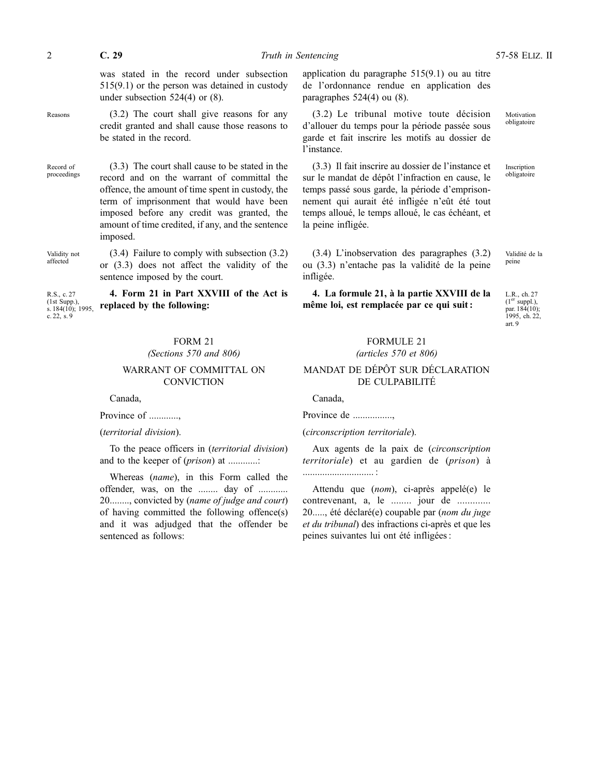was stated in the record under subsection 515(9.1) or the person was detained in custody under subsection 524(4) or (8).

Reasons (3.2) The court shall give reasons for any credit granted and shall cause those reasons to be stated in the record.

Record of proceedings (3.3) The court shall cause to be stated in the record and on the warrant of committal the offence, the amount of time spent in custody, the term of imprisonment that would have been imposed before any credit was granted, the amount of time credited, if any, and the sentence imposed.

Validity not affected

R.S., c. 27 (1st Supp.),

c. 22, s. 9

(3.4) Failure to comply with subsection (3.2) or (3.3) does not affect the validity of the sentence imposed by the court.

s. 184(10); 1995, **4. Form 21 in Part XXVIII of the Act is replaced by the following:**

#### FORM 21 *(Sections 570 and 806)*

#### WARRANT OF COMMITTAL ON **CONVICTION**

Canada,

Province of ............,

#### (*territorial division*).

To the peace officers in (*territorial division*) and to the keeper of (*prison*) at ............:

Whereas (*name*), in this Form called the offender, was, on the ........ day of ............ 20........, convicted by (*name of judge and court*) of having committed the following offence(s) and it was adjudged that the offender be sentenced as follows:

application du paragraphe 515(9.1) ou au titre de l'ordonnance rendue en application des paragraphes 524(4) ou (8).

(3.2) Le tribunal motive toute décision d'allouer du temps pour la période passée sous garde et fait inscrire les motifs au dossier de l'instance.

(3.3) Il fait inscrire au dossier de l'instance et sur le mandat de dépôt l'infraction en cause, le temps passé sous garde, la période d'emprisonnement qui aurait été infligée n'eût été tout temps alloué, le temps alloué, le cas échéant, et la peine infligée.

Motivation obligatoire

Inscription obligatoire

(3.4) L'inobservation des paragraphes (3.2) ou (3.3) n'entache pas la validité de la peine infligée.

#### **4. La formule 21, à la partie XXVIII de la même loi, est remplacée par ce qui suit :**

L.R., ch. 27 (1er suppl.), par. 184(10); 1995, ch. 22, art. 9

Validité de la peine

#### FORMULE 21 *(articles 570 et 806)*

#### MANDAT DE DÉPÔT SUR DÉCLARATION DE CULPABILITÉ

Canada,

Province de ................,

(*circonscription territoriale*).

Aux agents de la paix de (*circonscription territoriale*) et au gardien de (*prison*) à ............................. :

Attendu que (*nom*), ci-après appelé(e) le contrevenant, a, le ........ jour de ............. 20....., été déclaré(e) coupable par (*nom du juge et du tribunal*) des infractions ci-après et que les peines suivantes lui ont été infligées :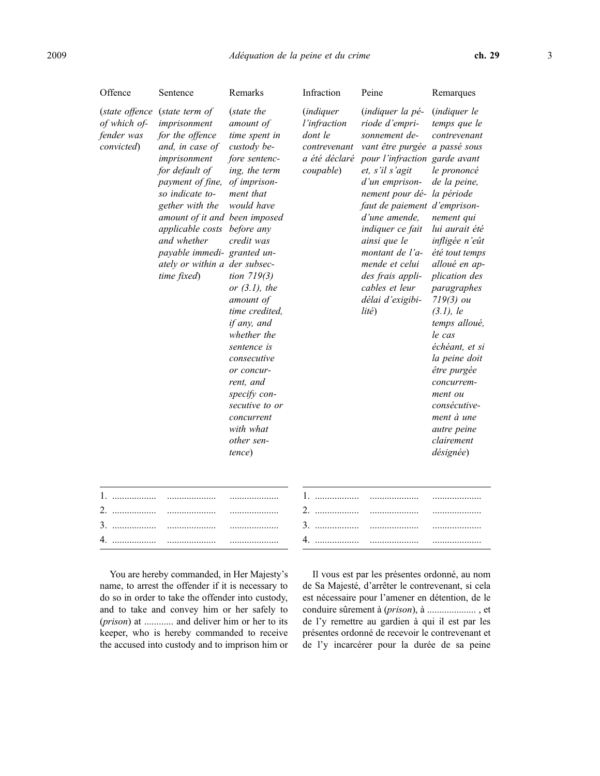| Offence                                                    | Sentence                                                                                                                                                                                                                                                                                                            | Remarks                                                                                                                                                                                                                                                                                                                                                                                                          | Infraction                                                                                | Peine                                                                                                                                                                                                                                                                                                                                                                            | Remarques                                                                                                                                                                                                                                                                                                                                                                                                                            |
|------------------------------------------------------------|---------------------------------------------------------------------------------------------------------------------------------------------------------------------------------------------------------------------------------------------------------------------------------------------------------------------|------------------------------------------------------------------------------------------------------------------------------------------------------------------------------------------------------------------------------------------------------------------------------------------------------------------------------------------------------------------------------------------------------------------|-------------------------------------------------------------------------------------------|----------------------------------------------------------------------------------------------------------------------------------------------------------------------------------------------------------------------------------------------------------------------------------------------------------------------------------------------------------------------------------|--------------------------------------------------------------------------------------------------------------------------------------------------------------------------------------------------------------------------------------------------------------------------------------------------------------------------------------------------------------------------------------------------------------------------------------|
| (state offence<br>of which of-<br>fender was<br>convicted) | (state term of<br>imprisonment<br>for the offence<br>and, in case of<br>imprisonment<br>for default of<br>payment of fine,<br>so indicate to-<br>gether with the<br>amount of it and been imposed<br>applicable costs<br>and whether<br>payable immedi- granted un-<br>ately or within a der subsec-<br>time fixed) | (state the<br>amount of<br>time spent in<br>custody be-<br>fore sentenc-<br>ing, the term<br>of imprison-<br>ment that<br>would have<br>before any<br>credit was<br>tion $719(3)$<br>or $(3.1)$ , the<br>amount of<br>time credited,<br>if any, and<br>whether the<br>sentence is<br>consecutive<br>or concur-<br>rent, and<br>specify con-<br>secutive to or<br>concurrent<br>with what<br>other sen-<br>tence) | <i>(indiquer</i><br>l'infraction<br>dont le<br>contrevenant<br>a été déclaré<br>coupable) | (indiquer la pé-<br>riode d'empri-<br>sonnement de-<br>vant être purgée<br>pour l'infraction garde avant<br>et, s'il s'agit<br>d'un emprison-<br>nement pour dé-la période<br>faut de paiement d'emprison-<br>d'une amende,<br>indiquer ce fait<br>ainsi que le<br>montant de l'a-<br>mende et celui<br>des frais appli-<br>cables et leur<br>délai d'exigibi-<br>$lit\acute{e}$ | <i>(indiquer le</i><br>temps que le<br>contrevenant<br>a passé sous<br>le prononcé<br>de la peine,<br>nement qui<br>lui aurait été<br>infligée n'eût<br>été tout temps<br>alloué en ap-<br>plication des<br>paragraphes<br>$719(3)$ ou<br>$(3.1)$ , le<br>temps alloué,<br>le cas<br>échéant, et si<br>la peine doit<br>être purgée<br>concurrem-<br>ment ou<br>consécutive-<br>ment à une<br>autre peine<br>clairement<br>désignée) |
| 1.                                                         |                                                                                                                                                                                                                                                                                                                     |                                                                                                                                                                                                                                                                                                                                                                                                                  | 1.                                                                                        |                                                                                                                                                                                                                                                                                                                                                                                  | .                                                                                                                                                                                                                                                                                                                                                                                                                                    |
|                                                            |                                                                                                                                                                                                                                                                                                                     | .                                                                                                                                                                                                                                                                                                                                                                                                                | 2.                                                                                        | .                                                                                                                                                                                                                                                                                                                                                                                | .                                                                                                                                                                                                                                                                                                                                                                                                                                    |
| 4.                                                         | .                                                                                                                                                                                                                                                                                                                   | .                                                                                                                                                                                                                                                                                                                                                                                                                | 4.                                                                                        | .                                                                                                                                                                                                                                                                                                                                                                                | .                                                                                                                                                                                                                                                                                                                                                                                                                                    |
|                                                            |                                                                                                                                                                                                                                                                                                                     |                                                                                                                                                                                                                                                                                                                                                                                                                  |                                                                                           |                                                                                                                                                                                                                                                                                                                                                                                  |                                                                                                                                                                                                                                                                                                                                                                                                                                      |

You are hereby commanded, in Her Majesty's name, to arrest the offender if it is necessary to do so in order to take the offender into custody, and to take and convey him or her safely to (*prison*) at ............ and deliver him or her to its keeper, who is hereby commanded to receive the accused into custody and to imprison him or

Il vous est par les présentes ordonné, au nom de Sa Majesté, d'arrêter le contrevenant, si cela est nécessaire pour l'amener en détention, de le conduire sûrement à (*prison*), à .................... , et de l'y remettre au gardien à qui il est par les présentes ordonné de recevoir le contrevenant et de l'y incarcérer pour la durée de sa peine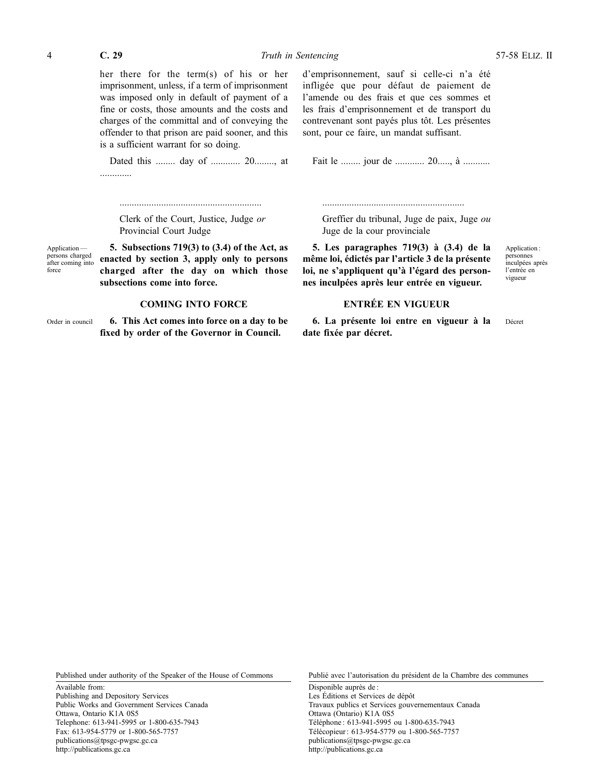her there for the term(s) of his or her imprisonment, unless, if a term of imprisonment was imposed only in default of payment of a fine or costs, those amounts and the costs and charges of the committal and of conveying the offender to that prison are paid sooner, and this is a sufficient warrant for so doing.

Dated this ........ day of ............ 20........, at .............

d'emprisonnement, sauf si celle-ci n'a été infligée que pour défaut de paiement de l'amende ou des frais et que ces sommes et les frais d'emprisonnement et de transport du contrevenant sont payés plus tôt. Les présentes sont, pour ce faire, un mandat suffisant.

Fait le ........ jour de ............ 20....., à ...........

..........................................................

Clerk of the Court, Justice, Judge *or* Provincial Court Judge

..........................................................

Application persons charged after coming into force

**5. Subsections 719(3) to (3.4) of the Act, as enacted by section 3, apply only to persons charged after the day on which those subsections come into force.**

#### **COMING INTO FORCE**

Order in council **6. This Act comes into force on a day to be fixed by order of the Governor in Council.**

Greffier du tribunal, Juge de paix, Juge *ou* Juge de la cour provinciale

**5. Les paragraphes 719(3) à (3.4) de la même loi, édictés par l'article 3 de la présente loi, ne s'appliquent qu'à l'égard des personnes inculpées après leur entrée en vigueur.**

**ENTRÉE EN VIGUEUR**

**6. La présente loi entre en vigueur à la date fixée par décret.**

Application : personnes .<br>inculpées après l'entrée en vigueur

Décret

Published under authority of the Speaker of the House of Commons

Available from: Publishing and Depository Services Public Works and Government Services Canada Ottawa, Ontario K1A 0S5 Telephone: 613-941-5995 or 1-800-635-7943 Fax: 613-954-5779 or 1-800-565-7757 publications@tpsgc-pwgsc.gc.ca http://publications.gc.ca

Publié avec l'autorisation du président de la Chambre des communes

Disponible auprès de : Les Éditions et Services de dépôt Travaux publics et Services gouvernementaux Canada Ottawa (Ontario) K1A 0S5 Téléphone : 613-941-5995 ou 1-800-635-7943 Télécopieur : 613-954-5779 ou 1-800-565-7757 publications@tpsgc-pwgsc.gc.ca http://publications.gc.ca